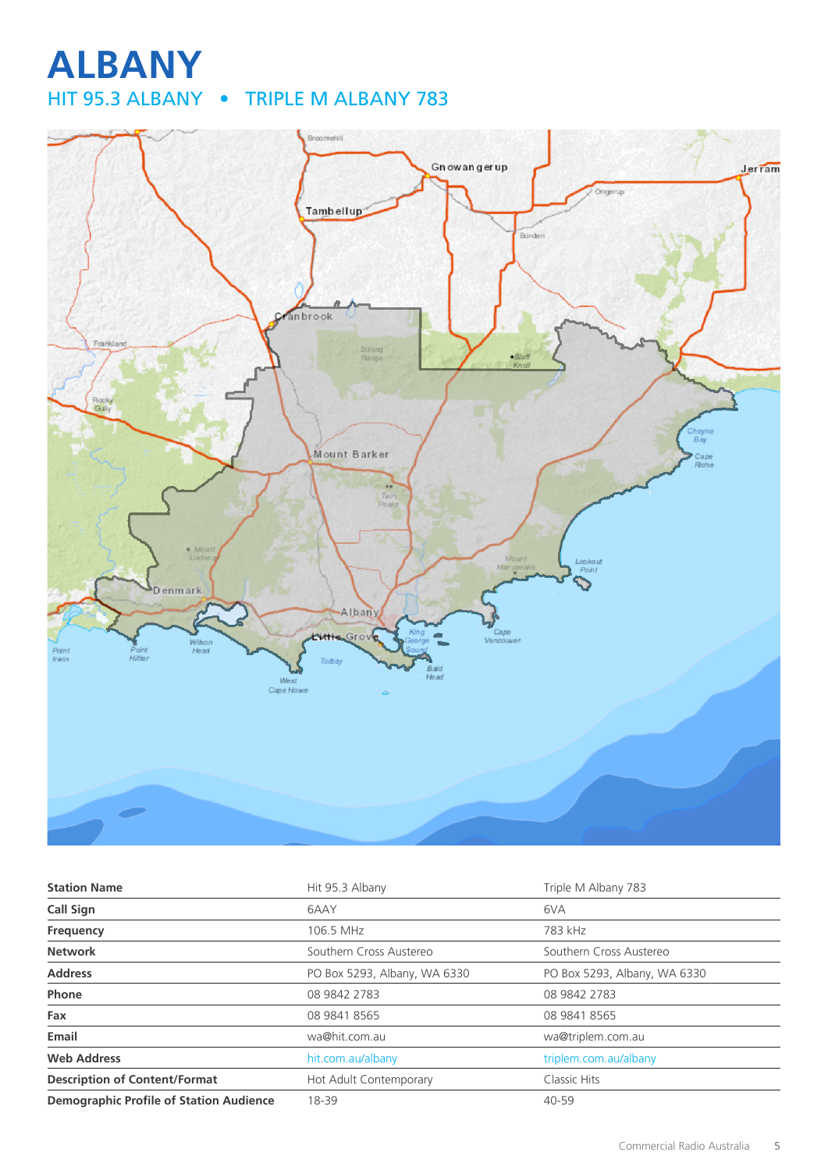## **ALBANY** HIT 95.3 ALBANY • TRIPLE M ALBANY 783



| <b>Station Name</b>                            | Hit 95.3 Albany              | Triple M Albany 783          |
|------------------------------------------------|------------------------------|------------------------------|
| <b>Call Sign</b>                               | 6AAY                         | 6VA                          |
| Frequency                                      | 106.5 MHz                    | 783 kHz                      |
| <b>Network</b>                                 | Southern Cross Austereo      | Southern Cross Austereo      |
| <b>Address</b>                                 | PO Box 5293, Albany, WA 6330 | PO Box 5293, Albany, WA 6330 |
| <b>Phone</b>                                   | 08 9842 2783                 | 08 9842 2783                 |
| Fax                                            | 08 9841 8565                 | 08 9841 8565                 |
| Email                                          | wa@hit.com.au                | wa@triplem.com.au            |
| <b>Web Address</b>                             | hit.com.au/albany            | triplem.com.au/albany        |
| <b>Description of Content/Format</b>           | Hot Adult Contemporary       | Classic Hits                 |
| <b>Demographic Profile of Station Audience</b> | 18-39                        | $40 - 59$                    |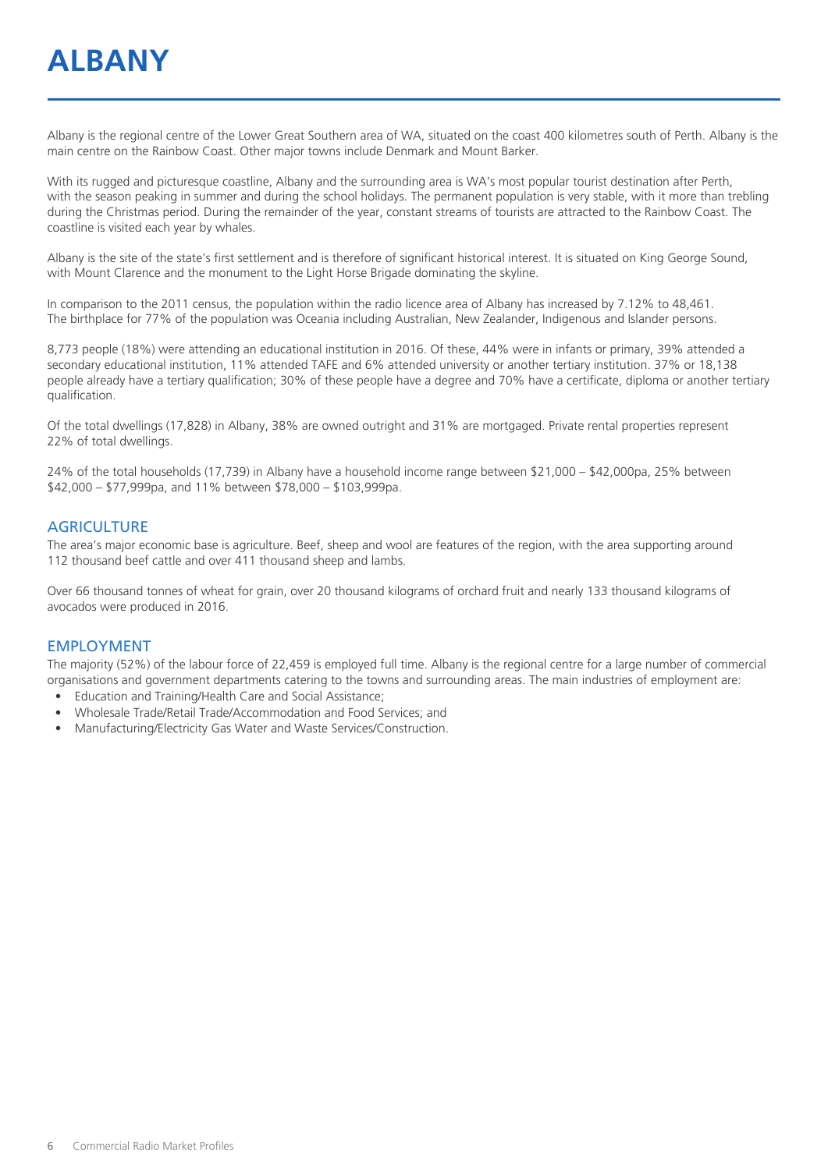## **ALBANY**

Albany is the regional centre of the Lower Great Southern area of WA, situated on the coast 400 kilometres south of Perth. Albany is the main centre on the Rainbow Coast. Other major towns include Denmark and Mount Barker.

With its rugged and picturesque coastline, Albany and the surrounding area is WA's most popular tourist destination after Perth, with the season peaking in summer and during the school holidays. The permanent population is very stable, with it more than trebling during the Christmas period. During the remainder of the year, constant streams of tourists are attracted to the Rainbow Coast. The coastline is visited each year by whales.

Albany is the site of the state's first settlement and is therefore of significant historical interest. It is situated on King George Sound, with Mount Clarence and the monument to the Light Horse Brigade dominating the skyline.

In comparison to the 2011 census, the population within the radio licence area of Albany has increased by 7.12% to 48,461. The birthplace for 77% of the population was Oceania including Australian, New Zealander, Indigenous and Islander persons.

8,773 people (18%) were attending an educational institution in 2016. Of these, 44% were in infants or primary, 39% attended a secondary educational institution, 11% attended TAFE and 6% attended university or another tertiary institution. 37% or 18,138 people already have a tertiary qualification; 30% of these people have a degree and 70% have a certificate, diploma or another tertiary qualification.

Of the total dwellings (17,828) in Albany, 38% are owned outright and 31% are mortgaged. Private rental properties represent 22% of total dwellings.

24% of the total households (17,739) in Albany have a household income range between \$21,000 – \$42,000pa, 25% between \$42,000 – \$77,999pa, and 11% between \$78,000 – \$103,999pa.

#### **AGRICULTURE**

The area's major economic base is agriculture. Beef, sheep and wool are features of the region, with the area supporting around 112 thousand beef cattle and over 411 thousand sheep and lambs.

Over 66 thousand tonnes of wheat for grain, over 20 thousand kilograms of orchard fruit and nearly 133 thousand kilograms of avocados were produced in 2016.

#### EMPLOYMENT

The majority (52%) of the labour force of 22,459 is employed full time. Albany is the regional centre for a large number of commercial organisations and government departments catering to the towns and surrounding areas. The main industries of employment are:

- Education and Training/Health Care and Social Assistance;
- Wholesale Trade/Retail Trade/Accommodation and Food Services; and
- Manufacturing/Electricity Gas Water and Waste Services/Construction.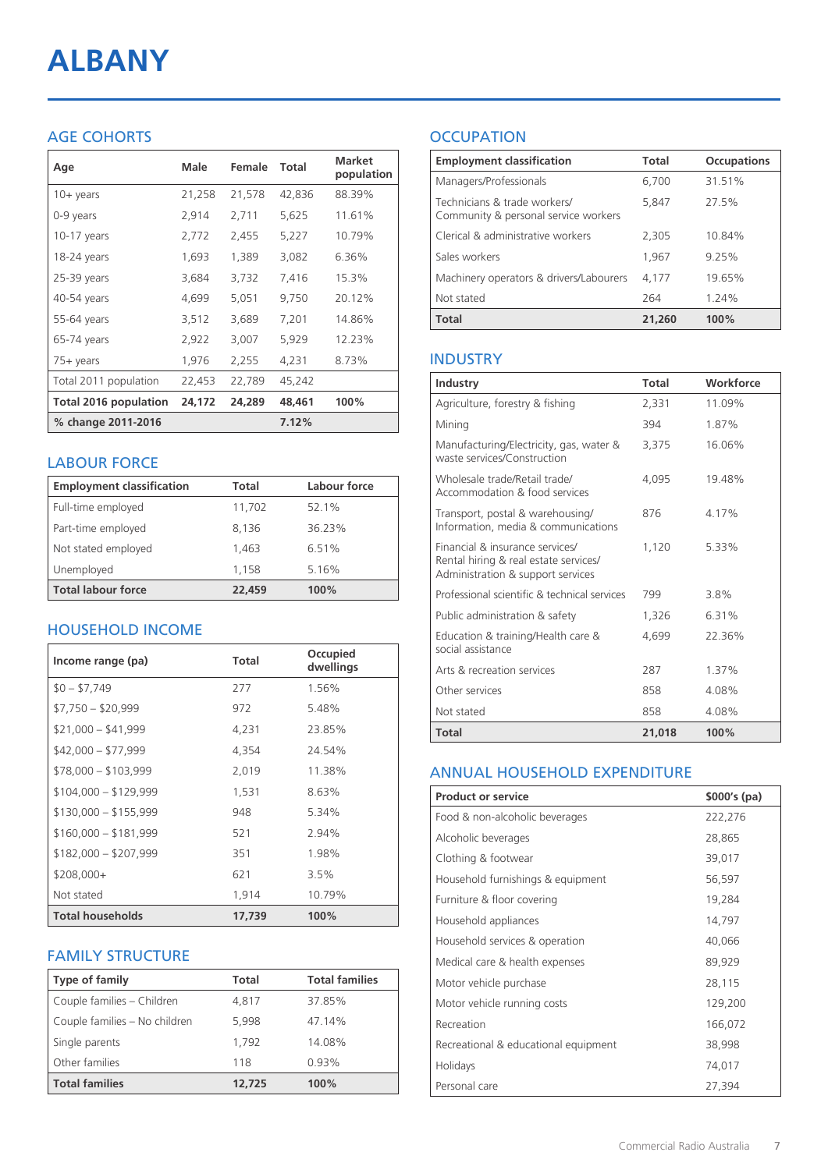# **ALBANY**

### AGE COHORTS

| Age                   | Male   | Female | Total  | <b>Market</b><br>population |
|-----------------------|--------|--------|--------|-----------------------------|
| $10 + \gamma$ ears    | 21,258 | 21,578 | 42,836 | 88.39%                      |
| 0-9 years             | 2,914  | 2,711  | 5,625  | 11.61%                      |
| $10-17$ years         | 2,772  | 2,455  | 5,227  | 10.79%                      |
| 18-24 years           | 1,693  | 1,389  | 3,082  | 6.36%                       |
| $25-39$ years         | 3,684  | 3,732  | 7,416  | 15.3%                       |
| 40-54 years           | 4,699  | 5,051  | 9,750  | 20.12%                      |
| 55-64 years           | 3,512  | 3,689  | 7,201  | 14.86%                      |
| 65-74 years           | 2,922  | 3,007  | 5,929  | 12.23%                      |
| 75+ years             | 1,976  | 2,255  | 4,231  | 8.73%                       |
| Total 2011 population | 22,453 | 22,789 | 45,242 |                             |
| Total 2016 population | 24,172 | 24,289 | 48,461 | 100%                        |
| % change 2011-2016    |        |        | 7.12%  |                             |

#### LABOUR FORCE

| <b>Employment classification</b> | Total  | Labour force |
|----------------------------------|--------|--------------|
| Full-time employed               | 11,702 | 52.1%        |
| Part-time employed               | 8,136  | 36.23%       |
| Not stated employed              | 1.463  | 6.51%        |
| Unemployed                       | 1,158  | 5.16%        |
| <b>Total labour force</b>        | 22,459 | 100%         |

#### HOUSEHOLD INCOME

| Income range (pa)       | <b>Total</b> | Occupied<br>dwellings |
|-------------------------|--------------|-----------------------|
| $$0 - $7,749$           | 277          | 1.56%                 |
| $$7,750 - $20,999$      | 972          | 5.48%                 |
| $$21,000 - $41,999$     | 4,231        | 23.85%                |
| $$42,000 - $77,999$     | 4,354        | 24.54%                |
| $$78,000 - $103,999$    | 2,019        | 11.38%                |
| $$104,000 - $129,999$   | 1,531        | 8.63%                 |
| $$130,000 - $155,999$   | 948          | 5.34%                 |
| $$160,000 - $181,999$   | 521          | 2.94%                 |
| $$182,000 - $207,999$   | 351          | 1.98%                 |
| $$208,000+$             | 621          | 3.5%                  |
| Not stated              | 1,914        | 10.79%                |
| <b>Total households</b> | 17.739       | 100%                  |

#### FAMILY STRUCTURE

| <b>Type of family</b>         | <b>Total</b> | <b>Total families</b> |
|-------------------------------|--------------|-----------------------|
| Couple families - Children    | 4,817        | 37.85%                |
| Couple families - No children | 5.998        | 47.14%                |
| Single parents                | 1,792        | 14.08%                |
| Other families                | 118          | 0.93%                 |
| <b>Total families</b>         | 12,725       | 100%                  |

### **OCCUPATION**

| <b>Employment classification</b>                                     | Total  | <b>Occupations</b> |
|----------------------------------------------------------------------|--------|--------------------|
| Managers/Professionals                                               | 6,700  | 31.51%             |
| Technicians & trade workers/<br>Community & personal service workers | 5,847  | 27.5%              |
| Clerical & administrative workers                                    | 2,305  | 10.84%             |
| Sales workers                                                        | 1,967  | 9.25%              |
| Machinery operators & drivers/Labourers                              | 4,177  | 19.65%             |
| Not stated                                                           | 264    | 1.24%              |
| <b>Total</b>                                                         | 21,260 | 100%               |

#### INDUSTRY

| Industry                                                                                                      | Total  | Workforce |
|---------------------------------------------------------------------------------------------------------------|--------|-----------|
| Agriculture, forestry & fishing                                                                               | 2,331  | 11.09%    |
| Mining                                                                                                        | 394    | 1.87%     |
| Manufacturing/Electricity, gas, water &<br>waste services/Construction                                        | 3,375  | 16.06%    |
| Wholesale trade/Retail trade/<br>Accommodation & food services                                                | 4.095  | 19.48%    |
| Transport, postal & warehousing/<br>Information, media & communications                                       | 876    | 4.17%     |
| Financial & insurance services/<br>Rental hiring & real estate services/<br>Administration & support services | 1,120  | 5.33%     |
| Professional scientific & technical services                                                                  | 799    | 3.8%      |
| Public administration & safety                                                                                | 1,326  | 6.31%     |
| Education & training/Health care &<br>social assistance                                                       | 4,699  | 22.36%    |
| Arts & recreation services                                                                                    | 287    | 1.37%     |
| Other services                                                                                                | 858    | 4.08%     |
| Not stated                                                                                                    | 858    | 4.08%     |
| <b>Total</b>                                                                                                  | 21,018 | 100%      |

#### ANNUAL HOUSEHOLD EXPENDITURE

| <b>Product or service</b>            | $$000's$ (pa) |
|--------------------------------------|---------------|
| Food & non-alcoholic beverages       | 222,276       |
| Alcoholic beverages                  | 28,865        |
| Clothing & footwear                  | 39,017        |
| Household furnishings & equipment    | 56,597        |
| Furniture & floor covering           | 19,284        |
| Household appliances                 | 14,797        |
| Household services & operation       | 40,066        |
| Medical care & health expenses       | 89,929        |
| Motor vehicle purchase               | 28,115        |
| Motor vehicle running costs          | 129,200       |
| Recreation                           | 166,072       |
| Recreational & educational equipment | 38,998        |
| Holidays                             | 74,017        |
| Personal care                        | 27,394        |